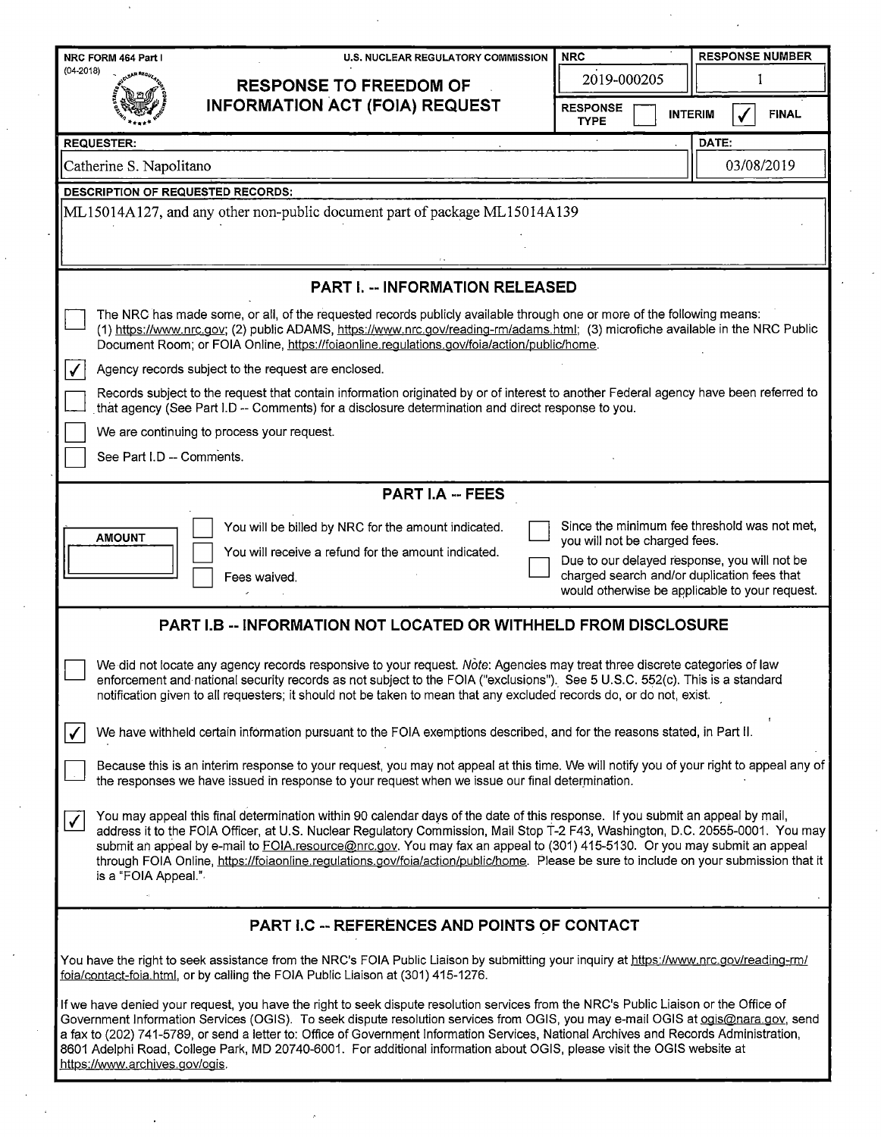| U.S. NUCLEAR REGULATORY COMMISSION<br>NRC FORM 464 Part I                                                                                                                                                                                                                                                                                                                                                                                                                                                                                                                         | <b>NRC</b>                                                                                                                                                                                                                     | <b>RESPONSE NUMBER</b>         |  |  |  |  |  |
|-----------------------------------------------------------------------------------------------------------------------------------------------------------------------------------------------------------------------------------------------------------------------------------------------------------------------------------------------------------------------------------------------------------------------------------------------------------------------------------------------------------------------------------------------------------------------------------|--------------------------------------------------------------------------------------------------------------------------------------------------------------------------------------------------------------------------------|--------------------------------|--|--|--|--|--|
| $(04-2018)$<br><b>RESPONSE TO FREEDOM OF</b>                                                                                                                                                                                                                                                                                                                                                                                                                                                                                                                                      | 2019-000205                                                                                                                                                                                                                    |                                |  |  |  |  |  |
| <b>INFORMATION ACT (FOIA) REQUEST</b>                                                                                                                                                                                                                                                                                                                                                                                                                                                                                                                                             | <b>RESPONSE</b><br><b>TYPE</b>                                                                                                                                                                                                 | <b>INTERIM</b><br><b>FINAL</b> |  |  |  |  |  |
| <b>REQUESTER:</b>                                                                                                                                                                                                                                                                                                                                                                                                                                                                                                                                                                 |                                                                                                                                                                                                                                | DATE:                          |  |  |  |  |  |
| Catherine S. Napolitano                                                                                                                                                                                                                                                                                                                                                                                                                                                                                                                                                           |                                                                                                                                                                                                                                | 03/08/2019                     |  |  |  |  |  |
| <b>DESCRIPTION OF REQUESTED RECORDS:</b>                                                                                                                                                                                                                                                                                                                                                                                                                                                                                                                                          |                                                                                                                                                                                                                                |                                |  |  |  |  |  |
| ML15014A127, and any other non-public document part of package ML15014A139                                                                                                                                                                                                                                                                                                                                                                                                                                                                                                        |                                                                                                                                                                                                                                |                                |  |  |  |  |  |
| <b>PART I. -- INFORMATION RELEASED</b>                                                                                                                                                                                                                                                                                                                                                                                                                                                                                                                                            |                                                                                                                                                                                                                                |                                |  |  |  |  |  |
| The NRC has made some, or all, of the requested records publicly available through one or more of the following means:<br>(1) https://www.nrc.qov; (2) public ADAMS, https://www.nrc.gov/reading-rm/adams.html; (3) microfiche available in the NRC Public<br>Document Room; or FOIA Online, https://foiaonline.regulations.gov/foia/action/public/home.                                                                                                                                                                                                                          |                                                                                                                                                                                                                                |                                |  |  |  |  |  |
| $\sqrt{}$<br>Agency records subject to the request are enclosed.                                                                                                                                                                                                                                                                                                                                                                                                                                                                                                                  |                                                                                                                                                                                                                                |                                |  |  |  |  |  |
| Records subject to the request that contain information originated by or of interest to another Federal agency have been referred to<br>that agency (See Part I.D -- Comments) for a disclosure determination and direct response to you.                                                                                                                                                                                                                                                                                                                                         |                                                                                                                                                                                                                                |                                |  |  |  |  |  |
| We are continuing to process your request.                                                                                                                                                                                                                                                                                                                                                                                                                                                                                                                                        |                                                                                                                                                                                                                                |                                |  |  |  |  |  |
| See Part I.D -- Comments.                                                                                                                                                                                                                                                                                                                                                                                                                                                                                                                                                         |                                                                                                                                                                                                                                |                                |  |  |  |  |  |
| <b>PART I.A -- FEES</b>                                                                                                                                                                                                                                                                                                                                                                                                                                                                                                                                                           |                                                                                                                                                                                                                                |                                |  |  |  |  |  |
| You will be billed by NRC for the amount indicated.<br><b>AMOUNT</b><br>You will receive a refund for the amount indicated.<br>Fees waived.                                                                                                                                                                                                                                                                                                                                                                                                                                       | Since the minimum fee threshold was not met,<br>you will not be charged fees.<br>Due to our delayed response, you will not be<br>charged search and/or duplication fees that<br>would otherwise be applicable to your request. |                                |  |  |  |  |  |
| <b>PART I.B -- INFORMATION NOT LOCATED OR WITHHELD FROM DISCLOSURE</b>                                                                                                                                                                                                                                                                                                                                                                                                                                                                                                            |                                                                                                                                                                                                                                |                                |  |  |  |  |  |
| We did not locate any agency records responsive to your request. Note: Agencies may treat three discrete categories of law<br>enforcement and national security records as not subject to the FOIA ("exclusions"). See 5 U.S.C. 552(c). This is a standard<br>notification given to all requesters; it should not be taken to mean that any excluded records do, or do not, exist.                                                                                                                                                                                                |                                                                                                                                                                                                                                |                                |  |  |  |  |  |
| We have withheld certain information pursuant to the FOIA exemptions described, and for the reasons stated, in Part II.<br>$\checkmark$                                                                                                                                                                                                                                                                                                                                                                                                                                           |                                                                                                                                                                                                                                |                                |  |  |  |  |  |
| Because this is an interim response to your request, you may not appeal at this time. We will notify you of your right to appeal any of<br>the responses we have issued in response to your request when we issue our final determination.                                                                                                                                                                                                                                                                                                                                        |                                                                                                                                                                                                                                |                                |  |  |  |  |  |
| You may appeal this final determination within 90 calendar days of the date of this response. If you submit an appeal by mail,<br>$\checkmark$<br>address it to the FOIA Officer, at U.S. Nuclear Regulatory Commission, Mail Stop T-2 F43, Washington, D.C. 20555-0001. You may<br>submit an appeal by e-mail to FOIA resource@nrc.gov. You may fax an appeal to (301) 415-5130. Or you may submit an appeal<br>through FOIA Online, https://foiaonline.regulations.gov/foia/action/public/home. Please be sure to include on your submission that it<br>is a "FOIA Appeal.".    |                                                                                                                                                                                                                                |                                |  |  |  |  |  |
| PART I.C -- REFERENCES AND POINTS OF CONTACT                                                                                                                                                                                                                                                                                                                                                                                                                                                                                                                                      |                                                                                                                                                                                                                                |                                |  |  |  |  |  |
| You have the right to seek assistance from the NRC's FOIA Public Liaison by submitting your inquiry at https://www.nrc.gov/reading-rm/<br>foia/contact-foia.html, or by calling the FOIA Public Liaison at (301) 415-1276.                                                                                                                                                                                                                                                                                                                                                        |                                                                                                                                                                                                                                |                                |  |  |  |  |  |
| If we have denied your request, you have the right to seek dispute resolution services from the NRC's Public Liaison or the Office of<br>Government Information Services (OGIS). To seek dispute resolution services from OGIS, you may e-mail OGIS at ogis@nara.gov, send<br>a fax to (202) 741-5789, or send a letter to: Office of Government Information Services, National Archives and Records Administration,<br>8601 Adelphi Road, College Park, MD 20740-6001. For additional information about OGIS, please visit the OGIS website at<br>https://www.archives.gov/ogis. |                                                                                                                                                                                                                                |                                |  |  |  |  |  |

 $\frac{1}{\sqrt{2}}$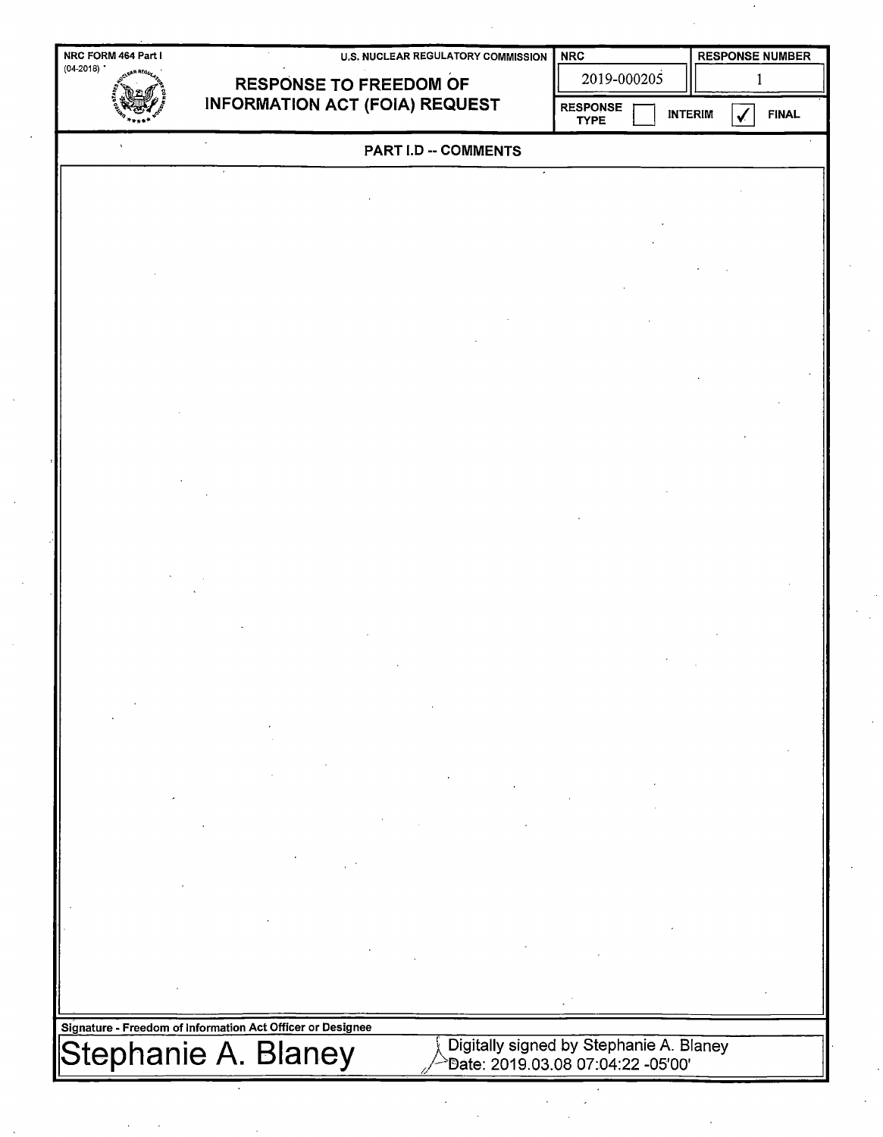|             | NRC FORM 464 Part I |                                                            | <b>U.S. NUCLEAR REGULATORY COMMISSION</b> |             | <b>NRC</b>                     |   | <b>RESPONSE NUMBER</b>                  |  |              |  |  |
|-------------|---------------------|------------------------------------------------------------|-------------------------------------------|-------------|--------------------------------|---|-----------------------------------------|--|--------------|--|--|
| $(04-2018)$ | ssR AEa             | <b>RESPONSE TO FREEDOM OF</b>                              |                                           | 2019-000205 |                                | 1 |                                         |  |              |  |  |
|             |                     |                                                            | <b>INFORMATION ACT (FOIA) REQUEST</b>     |             | <b>RESPONSE</b><br><b>TYPE</b> |   | <b>INTERIM</b>                          |  | <b>FINAL</b> |  |  |
|             |                     |                                                            |                                           |             | PART I.D -- COMMENTS           |   |                                         |  |              |  |  |
|             |                     |                                                            |                                           |             |                                |   |                                         |  |              |  |  |
|             |                     |                                                            |                                           |             |                                |   |                                         |  |              |  |  |
|             |                     |                                                            |                                           |             |                                |   |                                         |  |              |  |  |
|             |                     |                                                            |                                           |             |                                |   |                                         |  |              |  |  |
|             |                     |                                                            |                                           |             |                                |   |                                         |  |              |  |  |
|             |                     |                                                            |                                           |             |                                |   |                                         |  |              |  |  |
|             |                     |                                                            |                                           |             |                                |   |                                         |  |              |  |  |
|             |                     |                                                            |                                           |             |                                |   |                                         |  |              |  |  |
|             |                     |                                                            |                                           |             |                                |   |                                         |  |              |  |  |
|             |                     |                                                            |                                           |             |                                |   |                                         |  |              |  |  |
|             |                     |                                                            |                                           |             |                                |   |                                         |  |              |  |  |
|             |                     |                                                            |                                           |             |                                |   |                                         |  |              |  |  |
|             |                     |                                                            |                                           |             |                                |   |                                         |  |              |  |  |
|             |                     |                                                            |                                           |             |                                |   |                                         |  |              |  |  |
|             |                     |                                                            |                                           |             |                                |   |                                         |  |              |  |  |
|             |                     |                                                            |                                           |             |                                |   |                                         |  |              |  |  |
|             |                     |                                                            |                                           |             |                                |   |                                         |  |              |  |  |
|             |                     |                                                            |                                           |             |                                |   |                                         |  |              |  |  |
|             |                     |                                                            |                                           |             |                                |   |                                         |  |              |  |  |
|             |                     |                                                            |                                           |             |                                |   |                                         |  |              |  |  |
|             |                     |                                                            |                                           |             |                                |   |                                         |  |              |  |  |
|             |                     |                                                            |                                           |             |                                |   |                                         |  |              |  |  |
|             |                     |                                                            |                                           |             |                                |   |                                         |  |              |  |  |
|             |                     |                                                            |                                           |             |                                |   |                                         |  |              |  |  |
|             |                     |                                                            |                                           |             |                                |   |                                         |  |              |  |  |
|             |                     |                                                            |                                           |             |                                |   |                                         |  |              |  |  |
|             |                     |                                                            |                                           |             |                                |   |                                         |  |              |  |  |
|             |                     |                                                            |                                           |             |                                |   |                                         |  |              |  |  |
|             |                     | Signature - Freedom of Information Act Officer or Designee |                                           |             |                                |   |                                         |  |              |  |  |
|             |                     | Stephanie A. Blaney                                        |                                           |             |                                |   | Digitally signed by Stephanie A. Blaney |  |              |  |  |
|             |                     |                                                            |                                           |             |                                |   | "Date: 2019.03.08 07:04:22 -05'00'      |  |              |  |  |

 $\frac{1}{\sqrt{2}}$ 

 $\frac{1}{2}$ 

 $\label{eq:2} \frac{1}{2} \int_{0}^{2\pi} \frac{1}{\sqrt{2}} \, \mathrm{d} \xi \, \mathrm{d} \xi \, \mathrm{d} \xi \, \mathrm{d} \xi \, \mathrm{d} \xi \, \mathrm{d} \xi \, \mathrm{d} \xi \, \mathrm{d} \xi \, \mathrm{d} \xi \, \mathrm{d} \xi \, \mathrm{d} \xi \, \mathrm{d} \xi \, \mathrm{d} \xi \, \mathrm{d} \xi \, \mathrm{d} \xi \, \mathrm{d} \xi \, \mathrm{d} \xi \, \mathrm{d} \xi \, \mathrm{d} \xi \, \mathrm{d} \xi \, \mathrm{d$